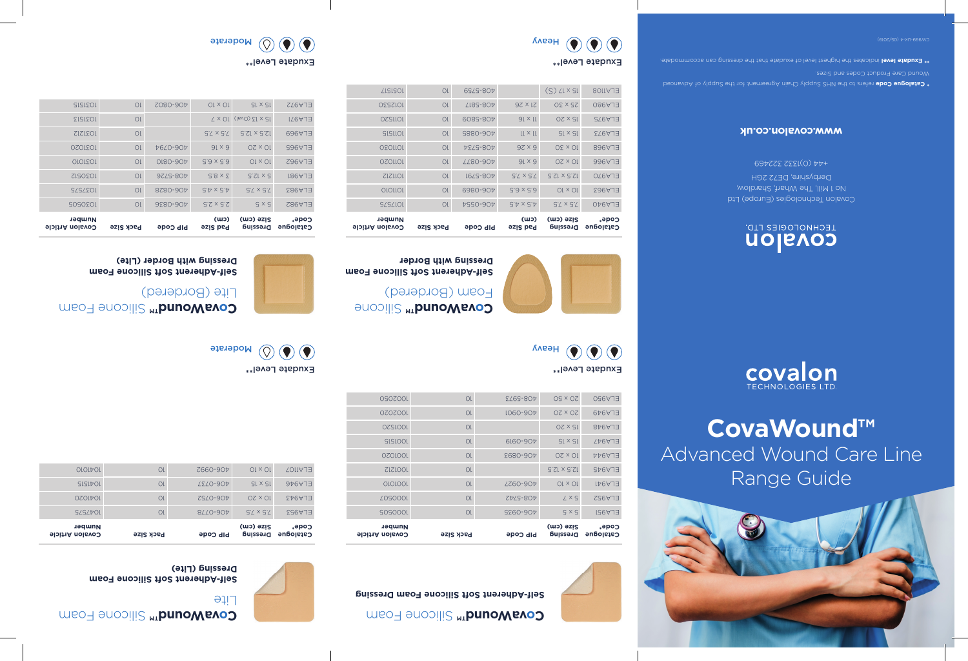

# **CovaWound™** Advanced Wound Care Line Range Guide



# uolisvos

LECHNOFOGIES FLD'

Covalon Technologies (Europe) Ltd No 1 Mill, The Wharf, Shardlow, Derbyshire, DE72 2GH +44 (0)1332 322469

### **www.covalon.co.uk**

**refargue Code** refers to the NHS Supply Chain Agreement for the and yind Advanced

**indicate level i**ndicate the highest level of exudate that the dressing can accommodate.  $\frac{1}{2}$ 



Exudate Level\*\*

 $\bigodot$   $\bigodot$ 

 $\bullet$ 

**Catalogue Dressing** 

**Size (cm)**

**Pad Size (cm)**

1017575 1017575 100-0554 100-0554 10 1010101 101 6980-907 5.9 x 5.9 10 x 01 299413  $1512$  1212 1011312 1012-5791 1012-5791 1012-5791 1012-5791 12.5  $\frac{1}{2}$ 0201101 01 2280-904 91 x 9 02 x 01 996AJE 1020 10 × 30 10 308-5734 101 102 103 103 104 103 104 103 104 105 105 106 107 108 109 109 109 109 10 1011 11 41 41 51 526 11 51 526 11 51 526 11 51 526 11 51 526 11 51 526 11 51 526 11 51 526 11 51 526 11 51 526 0221101 01 6085-804 91 x 11 02 x 31 576AJ 10252101 1012530 1012530 1012530 1012530 102250 1051517 10 408-5759 (S) 15 x 17 ELA1108

**Code\***

**Catalogue Dressing** 

**Code\***

Heavy

Heavy

 $\odot$   $\odot$  $\bigcirc$ 







ELA982 | 5 x 5 | 3.5 x 2.5 | 406-0836 | 10 1037575 1237575 10 406-0828 10 1037575 1030512 1232 1233 1245 1225 1234 12050512 1031010 10 406-0810 6.5 x 6.5 10 x 10 ELA962 1031020 10 406-0794 6 x 16 10 x 20 ELA965 1031212 10 7.5 x 7.5 12.5 x 12.5 ELA969  $1031501$  1231513 1031 124  $\pm$  2010 124  $\pm$  2010 124  $\pm$  2010 124  $\pm$  2010 125  $\pm$  2010 125  $\pm$  2010 125  $\pm$  2010 125  $\pm$  2010 125  $\pm$  2010 125  $\pm$  2010 125  $\pm$  2010 125  $\pm$  2010 125  $\pm$  2010 125  $\pm$  2010 12  $| 1031501 | 103150 |
|---------|--------|
| 1031501 | 103150 |
| 1031501 | 103150 |
| 1031501 | 103150 |
| 1031501 | 103150 |
| 1031501 | 103150 |$ 



**SILICONE VAINS** SILICONE

**Self-Adherent Soft Silicone Foam** 

PIP Code Pack Size Covalon Article

**Number**

Foam (Bordered)

**Dressing with Border**

**Silicone Foam oWerle** Foam **Self-Adherent Soft Silicone Foam Dressing**

**PIP Code** Pack Size Covalon Article

| Number<br><b>Govalon Article</b> | Pack Size | <b>bib Code</b> | Size (cm)<br><b>Dressing</b> | <b>code</b> .<br>Catalogue |
|----------------------------------|-----------|-----------------|------------------------------|----------------------------|
| <b>SLSLVOL</b>                   | OL        | 8/10-90P        | $S'$ $\times$ $S'$           | ELA953                     |
| <b>OZOLDOL</b>                   | Ol        | <b>ZSLO-907</b> | $OZ \times OL$               | ELA943                     |
| <b>SISIFOL</b>                   | Ol        | <b>ZEZO-907</b> | $GL \times GL$               | 9 <sub>6</sub> 41          |
| <b>OLOLDOL</b>                   | Οl        | Z660-90t        | $OL \times OL$               | ELAII07                    |

CovaWound™ Silicone Foam

**Self-Adherent Soft Silicone Foam Dressing (Lite)**

Lite